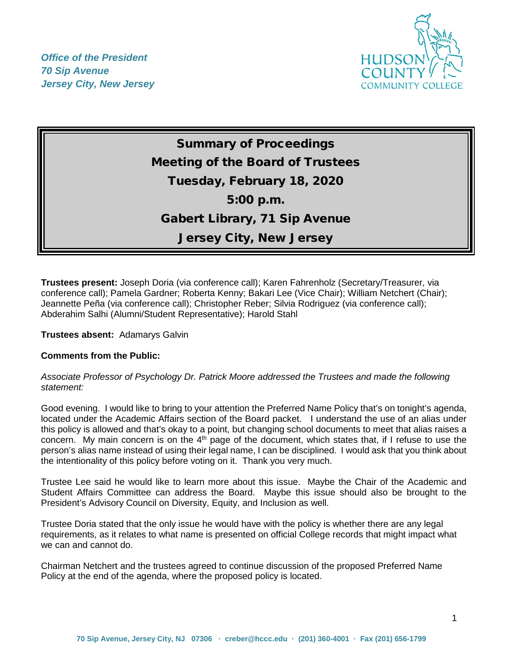*Office of the President 70 Sip Avenue Jersey City, New Jersey*



# Summary of Proceedings Meeting of the Board of Trustees Tuesday, February 18, 2020 5:00 p.m. Gabert Library, 71 Sip Avenue Jersey City, New Jersey

**Trustees present:** Joseph Doria (via conference call); Karen Fahrenholz (Secretary/Treasurer, via conference call); Pamela Gardner; Roberta Kenny; Bakari Lee (Vice Chair); William Netchert (Chair); Jeannette Peña (via conference call); Christopher Reber; Silvia Rodriguez (via conference call); Abderahim Salhi (Alumni/Student Representative); Harold Stahl

**Trustees absent:** Adamarys Galvin

## **Comments from the Public:**

#### *Associate Professor of Psychology Dr. Patrick Moore addressed the Trustees and made the following statement:*

Good evening. I would like to bring to your attention the Preferred Name Policy that's on tonight's agenda, located under the Academic Affairs section of the Board packet. I understand the use of an alias under this policy is allowed and that's okay to a point, but changing school documents to meet that alias raises a concern. My main concern is on the 4<sup>th</sup> page of the document, which states that, if I refuse to use the person's alias name instead of using their legal name, I can be disciplined. I would ask that you think about the intentionality of this policy before voting on it. Thank you very much.

Trustee Lee said he would like to learn more about this issue. Maybe the Chair of the Academic and Student Affairs Committee can address the Board. Maybe this issue should also be brought to the President's Advisory Council on Diversity, Equity, and Inclusion as well.

Trustee Doria stated that the only issue he would have with the policy is whether there are any legal requirements, as it relates to what name is presented on official College records that might impact what we can and cannot do.

Chairman Netchert and the trustees agreed to continue discussion of the proposed Preferred Name Policy at the end of the agenda, where the proposed policy is located.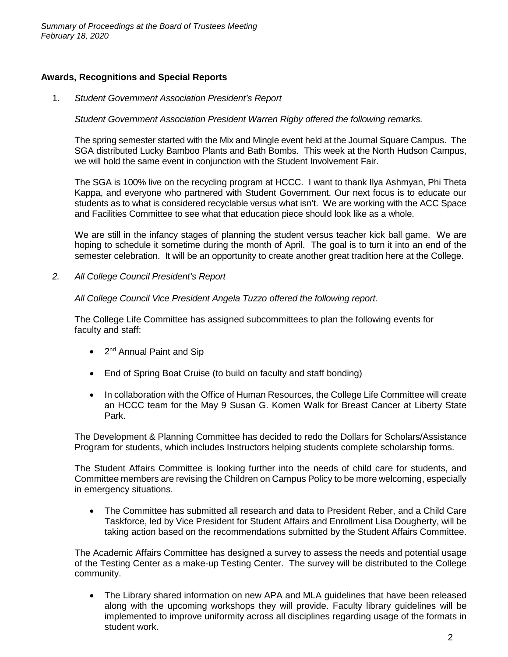## **Awards, Recognitions and Special Reports**

1. *Student Government Association President's Report* 

*Student Government Association President Warren Rigby offered the following remarks.*

The spring semester started with the Mix and Mingle event held at the Journal Square Campus. The SGA distributed Lucky Bamboo Plants and Bath Bombs. This week at the North Hudson Campus, we will hold the same event in conjunction with the Student Involvement Fair.

The SGA is 100% live on the recycling program at HCCC. I want to thank Ilya Ashmyan, Phi Theta Kappa, and everyone who partnered with Student Government. Our next focus is to educate our students as to what is considered recyclable versus what isn't. We are working with the ACC Space and Facilities Committee to see what that education piece should look like as a whole.

We are still in the infancy stages of planning the student versus teacher kick ball game. We are hoping to schedule it sometime during the month of April. The goal is to turn it into an end of the semester celebration. It will be an opportunity to create another great tradition here at the College.

*2. All College Council President's Report* 

*All College Council Vice President Angela Tuzzo offered the following report.*

The College Life Committee has assigned subcommittees to plan the following events for faculty and staff:

- 2<sup>nd</sup> Annual Paint and Sip
- End of Spring Boat Cruise (to build on faculty and staff bonding)
- In collaboration with the Office of Human Resources, the College Life Committee will create an HCCC team for the May 9 Susan G. Komen Walk for Breast Cancer at Liberty State Park.

The Development & Planning Committee has decided to redo the Dollars for Scholars/Assistance Program for students, which includes Instructors helping students complete scholarship forms.

The Student Affairs Committee is looking further into the needs of child care for students, and Committee members are revising the Children on Campus Policy to be more welcoming, especially in emergency situations.

• The Committee has submitted all research and data to President Reber, and a Child Care Taskforce, led by Vice President for Student Affairs and Enrollment Lisa Dougherty, will be taking action based on the recommendations submitted by the Student Affairs Committee.

The Academic Affairs Committee has designed a survey to assess the needs and potential usage of the Testing Center as a make-up Testing Center. The survey will be distributed to the College community.

• The Library shared information on new APA and MLA quidelines that have been released along with the upcoming workshops they will provide. Faculty library guidelines will be implemented to improve uniformity across all disciplines regarding usage of the formats in student work.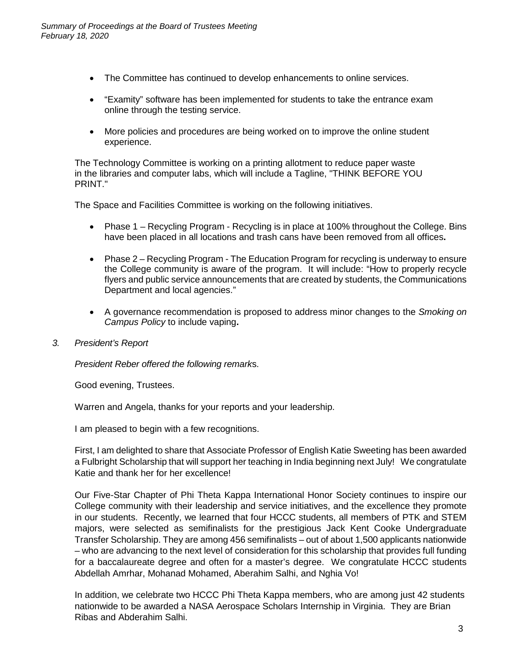- The Committee has continued to develop enhancements to online services.
- "Examity" software has been implemented for students to take the entrance exam online through the testing service.
- More policies and procedures are being worked on to improve the online student experience.

The Technology Committee is working on a printing allotment to reduce paper waste in the libraries and computer labs, which will include a Tagline, "THINK BEFORE YOU PRINT."

The Space and Facilities Committee is working on the following initiatives.

- Phase 1 Recycling Program Recycling is in place at 100% throughout the College. Bins have been placed in all locations and trash cans have been removed from all offices**.**
- Phase 2 Recycling Program The Education Program for recycling is underway to ensure the College community is aware of the program. It will include: "How to properly recycle flyers and public service announcements that are created by students, the Communications Department and local agencies."
- A governance recommendation is proposed to address minor changes to the *Smoking on Campus Policy* to include vaping**.**
- *3. President's Report*

*President Reber offered the following remark*s.

Good evening, Trustees.

Warren and Angela, thanks for your reports and your leadership.

I am pleased to begin with a few recognitions.

First, I am delighted to share that Associate Professor of English Katie Sweeting has been awarded a Fulbright Scholarship that will support her teaching in India beginning next July! We congratulate Katie and thank her for her excellence!

Our Five-Star Chapter of Phi Theta Kappa International Honor Society continues to inspire our College community with their leadership and service initiatives, and the excellence they promote in our students. Recently, we learned that four HCCC students, all members of PTK and STEM majors, were selected as semifinalists for the prestigious Jack Kent Cooke Undergraduate Transfer Scholarship. They are among 456 semifinalists – out of about 1,500 applicants nationwide – who are advancing to the next level of consideration for this scholarship that provides full funding for a baccalaureate degree and often for a master's degree. We congratulate HCCC students Abdellah Amrhar, Mohanad Mohamed, Aberahim Salhi, and Nghia Vo!

In addition, we celebrate two HCCC Phi Theta Kappa members, who are among just 42 students nationwide to be awarded a NASA Aerospace Scholars Internship in Virginia. They are Brian Ribas and Abderahim Salhi.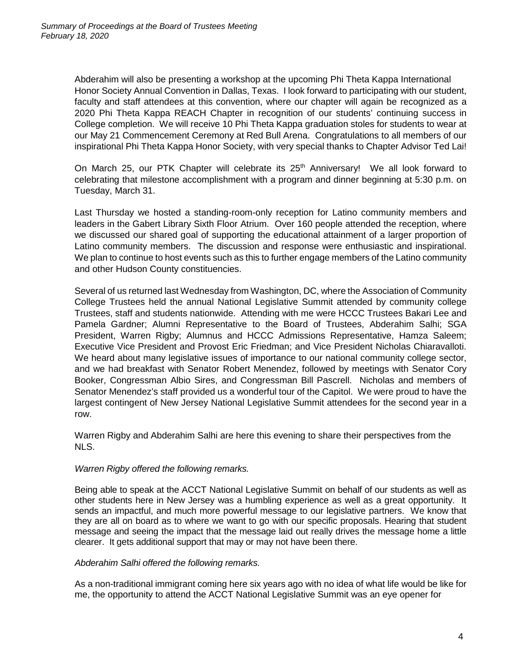Abderahim will also be presenting a workshop at the upcoming Phi Theta Kappa International Honor Society Annual Convention in Dallas, Texas. I look forward to participating with our student, faculty and staff attendees at this convention, where our chapter will again be recognized as a 2020 Phi Theta Kappa REACH Chapter in recognition of our students' continuing success in College completion. We will receive 10 Phi Theta Kappa graduation stoles for students to wear at our May 21 Commencement Ceremony at Red Bull Arena. Congratulations to all members of our inspirational Phi Theta Kappa Honor Society, with very special thanks to Chapter Advisor Ted Lai!

On March 25, our PTK Chapter will celebrate its 25<sup>th</sup> Anniversary! We all look forward to celebrating that milestone accomplishment with a program and dinner beginning at 5:30 p.m. on Tuesday, March 31.

Last Thursday we hosted a standing-room-only reception for Latino community members and leaders in the Gabert Library Sixth Floor Atrium. Over 160 people attended the reception, where we discussed our shared goal of supporting the educational attainment of a larger proportion of Latino community members. The discussion and response were enthusiastic and inspirational. We plan to continue to host events such as this to further engage members of the Latino community and other Hudson County constituencies.

Several of us returned last Wednesday from Washington, DC, where the Association of Community College Trustees held the annual National Legislative Summit attended by community college Trustees, staff and students nationwide. Attending with me were HCCC Trustees Bakari Lee and Pamela Gardner; Alumni Representative to the Board of Trustees, Abderahim Salhi; SGA President, Warren Rigby; Alumnus and HCCC Admissions Representative, Hamza Saleem; Executive Vice President and Provost Eric Friedman; and Vice President Nicholas Chiaravalloti. We heard about many legislative issues of importance to our national community college sector, and we had breakfast with Senator Robert Menendez, followed by meetings with Senator Cory Booker, Congressman Albio Sires, and Congressman Bill Pascrell. Nicholas and members of Senator Menendez's staff provided us a wonderful tour of the Capitol. We were proud to have the largest contingent of New Jersey National Legislative Summit attendees for the second year in a row.

Warren Rigby and Abderahim Salhi are here this evening to share their perspectives from the NLS.

## *Warren Rigby offered the following remarks.*

Being able to speak at the ACCT National Legislative Summit on behalf of our students as well as other students here in New Jersey was a humbling experience as well as a great opportunity. It sends an impactful, and much more powerful message to our legislative partners. We know that they are all on board as to where we want to go with our specific proposals. Hearing that student message and seeing the impact that the message laid out really drives the message home a little clearer. It gets additional support that may or may not have been there.

## *Abderahim Salhi offered the following remarks.*

As a non-traditional immigrant coming here six years ago with no idea of what life would be like for me, the opportunity to attend the ACCT National Legislative Summit was an eye opener for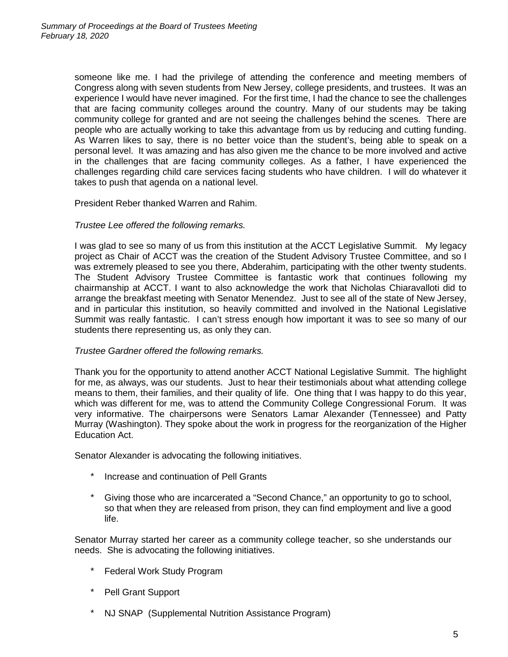someone like me. I had the privilege of attending the conference and meeting members of Congress along with seven students from New Jersey, college presidents, and trustees. It was an experience I would have never imagined. For the first time, I had the chance to see the challenges that are facing community colleges around the country. Many of our students may be taking community college for granted and are not seeing the challenges behind the scenes. There are people who are actually working to take this advantage from us by reducing and cutting funding. As Warren likes to say, there is no better voice than the student's, being able to speak on a personal level. It was amazing and has also given me the chance to be more involved and active in the challenges that are facing community colleges. As a father, I have experienced the challenges regarding child care services facing students who have children. I will do whatever it takes to push that agenda on a national level.

President Reber thanked Warren and Rahim.

#### *Trustee Lee offered the following remarks.*

I was glad to see so many of us from this institution at the ACCT Legislative Summit. My legacy project as Chair of ACCT was the creation of the Student Advisory Trustee Committee, and so I was extremely pleased to see you there, Abderahim, participating with the other twenty students. The Student Advisory Trustee Committee is fantastic work that continues following my chairmanship at ACCT. I want to also acknowledge the work that Nicholas Chiaravalloti did to arrange the breakfast meeting with Senator Menendez. Just to see all of the state of New Jersey, and in particular this institution, so heavily committed and involved in the National Legislative Summit was really fantastic. I can't stress enough how important it was to see so many of our students there representing us, as only they can.

## *Trustee Gardner offered the following remarks.*

Thank you for the opportunity to attend another ACCT National Legislative Summit. The highlight for me, as always, was our students. Just to hear their testimonials about what attending college means to them, their families, and their quality of life. One thing that I was happy to do this year, which was different for me, was to attend the Community College Congressional Forum. It was very informative. The chairpersons were Senators Lamar Alexander (Tennessee) and Patty Murray (Washington). They spoke about the work in progress for the reorganization of the Higher Education Act.

Senator Alexander is advocating the following initiatives.

- \* Increase and continuation of Pell Grants
- \* Giving those who are incarcerated a "Second Chance," an opportunity to go to school, so that when they are released from prison, they can find employment and live a good life.

Senator Murray started her career as a community college teacher, so she understands our needs. She is advocating the following initiatives.

- \* Federal Work Study Program
- \* Pell Grant Support
- \* NJ SNAP (Supplemental Nutrition Assistance Program)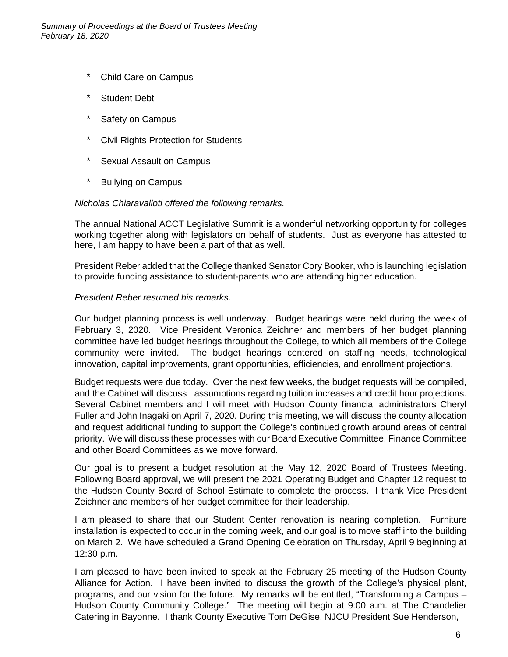- \* Child Care on Campus
- \* Student Debt
- \* Safety on Campus
- \* Civil Rights Protection for Students
- \* Sexual Assault on Campus
- \* Bullying on Campus

## *Nicholas Chiaravalloti offered the following remarks.*

The annual National ACCT Legislative Summit is a wonderful networking opportunity for colleges working together along with legislators on behalf of students. Just as everyone has attested to here, I am happy to have been a part of that as well.

President Reber added that the College thanked Senator Cory Booker, who is launching legislation to provide funding assistance to student-parents who are attending higher education.

## *President Reber resumed his remarks.*

Our budget planning process is well underway. Budget hearings were held during the week of February 3, 2020. Vice President Veronica Zeichner and members of her budget planning committee have led budget hearings throughout the College, to which all members of the College community were invited. The budget hearings centered on staffing needs, technological innovation, capital improvements, grant opportunities, efficiencies, and enrollment projections.

Budget requests were due today. Over the next few weeks, the budget requests will be compiled, and the Cabinet will discuss assumptions regarding tuition increases and credit hour projections. Several Cabinet members and I will meet with Hudson County financial administrators Cheryl Fuller and John Inagaki on April 7, 2020. During this meeting, we will discuss the county allocation and request additional funding to support the College's continued growth around areas of central priority. We will discuss these processes with our Board Executive Committee, Finance Committee and other Board Committees as we move forward.

Our goal is to present a budget resolution at the May 12, 2020 Board of Trustees Meeting. Following Board approval, we will present the 2021 Operating Budget and Chapter 12 request to the Hudson County Board of School Estimate to complete the process. I thank Vice President Zeichner and members of her budget committee for their leadership.

I am pleased to share that our Student Center renovation is nearing completion. Furniture installation is expected to occur in the coming week, and our goal is to move staff into the building on March 2. We have scheduled a Grand Opening Celebration on Thursday, April 9 beginning at 12:30 p.m.

I am pleased to have been invited to speak at the February 25 meeting of the Hudson County Alliance for Action. I have been invited to discuss the growth of the College's physical plant, programs, and our vision for the future. My remarks will be entitled, "Transforming a Campus – Hudson County Community College." The meeting will begin at 9:00 a.m. at The Chandelier Catering in Bayonne. I thank County Executive Tom DeGise, NJCU President Sue Henderson,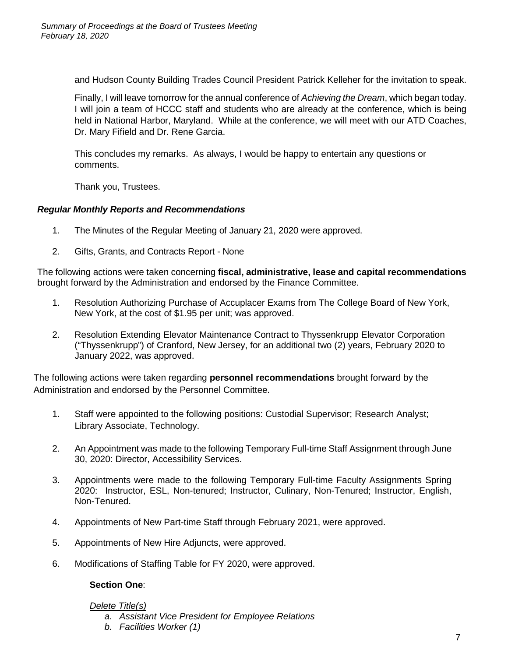and Hudson County Building Trades Council President Patrick Kelleher for the invitation to speak.

Finally, I will leave tomorrow for the annual conference of *Achieving the Dream*, which began today. I will join a team of HCCC staff and students who are already at the conference, which is being held in National Harbor, Maryland. While at the conference, we will meet with our ATD Coaches, Dr. Mary Fifield and Dr. Rene Garcia.

This concludes my remarks. As always, I would be happy to entertain any questions or comments.

Thank you, Trustees.

# *Regular Monthly Reports and Recommendations*

- 1. The Minutes of the Regular Meeting of January 21, 2020 were approved.
- 2. Gifts, Grants, and Contracts Report None

The following actions were taken concerning **fiscal, administrative, lease and capital recommendations** brought forward by the Administration and endorsed by the Finance Committee.

- 1. Resolution Authorizing Purchase of Accuplacer Exams from The College Board of New York, New York, at the cost of \$1.95 per unit; was approved.
- 2. Resolution Extending Elevator Maintenance Contract to Thyssenkrupp Elevator Corporation ("Thyssenkrupp") of Cranford, New Jersey, for an additional two (2) years, February 2020 to January 2022, was approved.

The following actions were taken regarding **personnel recommendations** brought forward by the Administration and endorsed by the Personnel Committee.

- 1. Staff were appointed to the following positions: Custodial Supervisor; Research Analyst; Library Associate, Technology.
- 2. An Appointment was made to the following Temporary Full-time Staff Assignment through June 30, 2020: Director, Accessibility Services.
- 3. Appointments were made to the following Temporary Full-time Faculty Assignments Spring 2020: Instructor, ESL, Non-tenured; Instructor, Culinary, Non-Tenured; Instructor, English, Non-Tenured.
- 4. Appointments of New Part-time Staff through February 2021, were approved.
- 5. Appointments of New Hire Adjuncts, were approved.
- 6. Modifications of Staffing Table for FY 2020, were approved.

## **Section One**:

## *Delete Title(s)*

- *a. Assistant Vice President for Employee Relations*
- *b. Facilities Worker (1)*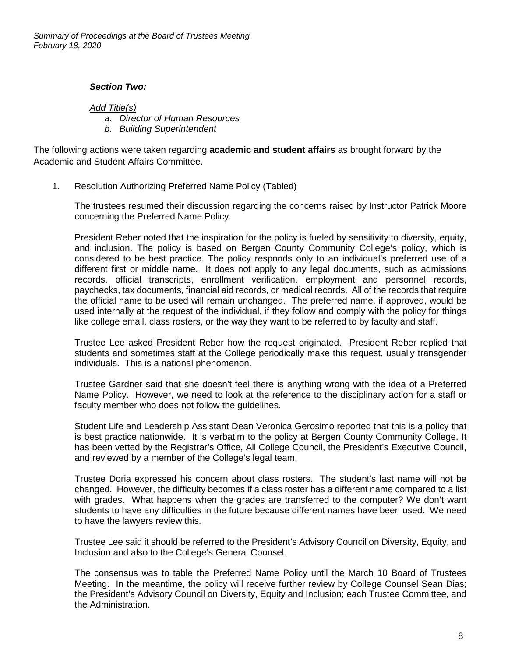*Summary of Proceedings at the Board of Trustees Meeting February 18, 2020*

#### *Section Two:*

*Add Title(s)*

*a. Director of Human Resources*

*b. Building Superintendent* 

The following actions were taken regarding **academic and student affairs** as brought forward by the Academic and Student Affairs Committee.

1. Resolution Authorizing Preferred Name Policy (Tabled)

The trustees resumed their discussion regarding the concerns raised by Instructor Patrick Moore concerning the Preferred Name Policy.

President Reber noted that the inspiration for the policy is fueled by sensitivity to diversity, equity, and inclusion. The policy is based on Bergen County Community College's policy, which is considered to be best practice. The policy responds only to an individual's preferred use of a different first or middle name. It does not apply to any legal documents, such as admissions records, official transcripts, enrollment verification, employment and personnel records, paychecks, tax documents, financial aid records, or medical records. All of the records that require the official name to be used will remain unchanged. The preferred name, if approved, would be used internally at the request of the individual, if they follow and comply with the policy for things like college email, class rosters, or the way they want to be referred to by faculty and staff.

Trustee Lee asked President Reber how the request originated. President Reber replied that students and sometimes staff at the College periodically make this request, usually transgender individuals. This is a national phenomenon.

Trustee Gardner said that she doesn't feel there is anything wrong with the idea of a Preferred Name Policy. However, we need to look at the reference to the disciplinary action for a staff or faculty member who does not follow the guidelines.

Student Life and Leadership Assistant Dean Veronica Gerosimo reported that this is a policy that is best practice nationwide. It is verbatim to the policy at Bergen County Community College. It has been vetted by the Registrar's Office, All College Council, the President's Executive Council, and reviewed by a member of the College's legal team.

Trustee Doria expressed his concern about class rosters. The student's last name will not be changed. However, the difficulty becomes if a class roster has a different name compared to a list with grades. What happens when the grades are transferred to the computer? We don't want students to have any difficulties in the future because different names have been used. We need to have the lawyers review this.

Trustee Lee said it should be referred to the President's Advisory Council on Diversity, Equity, and Inclusion and also to the College's General Counsel.

The consensus was to table the Preferred Name Policy until the March 10 Board of Trustees Meeting. In the meantime, the policy will receive further review by College Counsel Sean Dias; the President's Advisory Council on Diversity, Equity and Inclusion; each Trustee Committee, and the Administration.